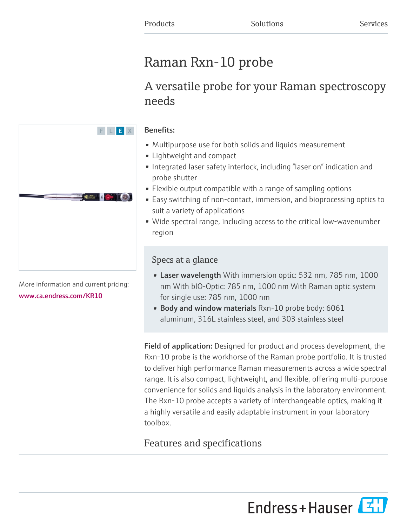# Raman Rxn-10 probe

# A versatile probe for your Raman spectroscopy needs

# Benefits:

- Multipurpose use for both solids and liquids measurement
- Lightweight and compact
- Integrated laser safety interlock, including "laser on" indication and probe shutter
- Flexible output compatible with a range of sampling options
- Easy switching of non-contact, immersion, and bioprocessing optics to suit a variety of applications
- Wide spectral range, including access to the critical low-wavenumber region

# Specs at a glance

- Laser wavelength With immersion optic: 532 nm, 785 nm, 1000 nm With bIO-Optic: 785 nm, 1000 nm With Raman optic system for single use: 785 nm, 1000 nm
- Body and window materials Rxn-10 probe body: 6061 aluminum, 316L stainless steel, and 303 stainless steel

Field of application: Designed for product and process development, the Rxn-10 probe is the workhorse of the Raman probe portfolio. It is trusted to deliver high performance Raman measurements across a wide spectral range. It is also compact, lightweight, and flexible, offering multi-purpose convenience for solids and liquids analysis in the laboratory environment. The Rxn-10 probe accepts a variety of interchangeable optics, making it a highly versatile and easily adaptable instrument in your laboratory toolbox.

# Features and specifications



More information and current pricing: [www.ca.endress.com/KR10](https://www.ca.endress.com/KR10)

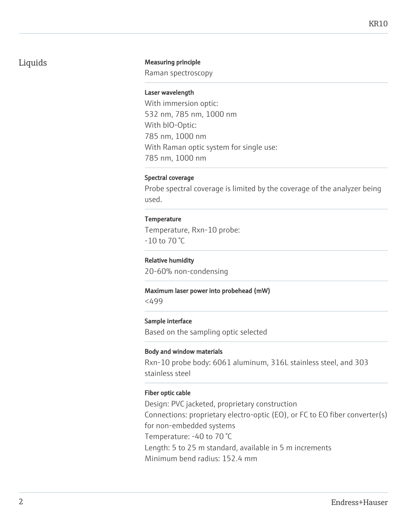# Liquids Measuring principle

Raman spectroscopy

#### Laser wavelength

With immersion optic: 532 nm, 785 nm, 1000 nm With bIO-Optic: 785 nm, 1000 nm With Raman optic system for single use: 785 nm, 1000 nm

### Spectral coverage

Probe spectral coverage is limited by the coverage of the analyzer being used.

### **Temperature**

Temperature, Rxn-10 probe: -10 to 70 °C

### Relative humidity

20-60% non-condensing

#### Maximum laser power into probehead (mW)

<499

#### Sample interface

Based on the sampling optic selected

#### Body and window materials

Rxn-10 probe body: 6061 aluminum, 316L stainless steel, and 303 stainless steel

### Fiber optic cable

Design: PVC jacketed, proprietary construction Connections: proprietary electro-optic (EO), or FC to EO fiber converter(s) for non-embedded systems Temperature: -40 to 70 °C Length: 5 to 25 m standard, available in 5 m increments Minimum bend radius: 152.4 mm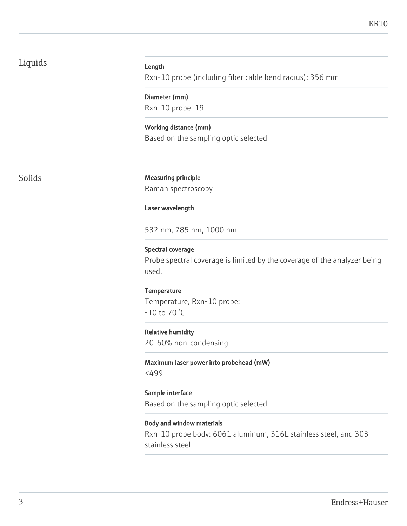# Liquids

#### Length

Rxn-10 probe (including fiber cable bend radius): 356 mm

Diameter (mm) Rxn-10 probe: 19

Working distance (mm) Based on the sampling optic selected

Solids Measuring principle

Raman spectroscopy

#### Laser wavelength

532 nm, 785 nm, 1000 nm

Spectral coverage

Probe spectral coverage is limited by the coverage of the analyzer being used.

# **Temperature** Temperature, Rxn-10 probe: -10 to 70 °C

Relative humidity 20-60% non-condensing

Maximum laser power into probehead (mW) <499

Sample interface Based on the sampling optic selected

#### Body and window materials

Rxn-10 probe body: 6061 aluminum, 316L stainless steel, and 303 stainless steel